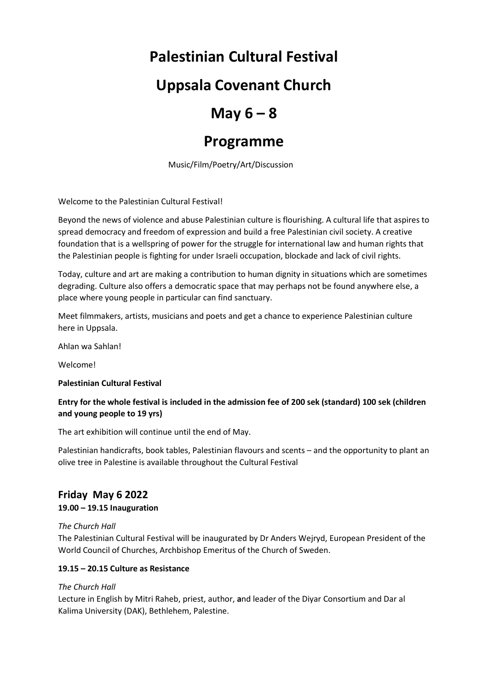## **Palestinian Cultural Festival**

## **Uppsala Covenant Church**

# $May 6 - 8$

## **Programme**

Music/Film/Poetry/Art/Discussion

Welcome to the Palestinian Cultural Festival!

Beyond the news of violence and abuse Palestinian culture is flourishing. A cultural life that aspires to spread democracy and freedom of expression and build a free Palestinian civil society. A creative foundation that is a wellspring of power for the struggle for international law and human rights that the Palestinian people is fighting for under Israeli occupation, blockade and lack of civil rights.

Today, culture and art are making a contribution to human dignity in situations which are sometimes degrading. Culture also offers a democratic space that may perhaps not be found anywhere else, a place where young people in particular can find sanctuary.

Meet filmmakers, artists, musicians and poets and get a chance to experience Palestinian culture here in Uppsala.

Ahlan wa Sahlan!

Welcome!

## **Palestinian Cultural Festival**

## **Entry for the whole festival is included in the admission fee of 200 sek (standard) 100 sek (children and young people to 19 yrs)**

The art exhibition will continue until the end of May.

Palestinian handicrafts, book tables, Palestinian flavours and scents – and the opportunity to plant an olive tree in Palestine is available throughout the Cultural Festival

## **Friday May 6 2022**

## **19.00 – 19.15 Inauguration**

## *The Church Hall*

The Palestinian Cultural Festival will be inaugurated by Dr Anders Wejryd, European President of the World Council of Churches, Archbishop Emeritus of the Church of Sweden.

## **19.15 – 20.15 Culture as Resistance**

## *The Church Hall*

Lecture in English by Mitri Raheb, priest, author, **a**nd leader of the Diyar Consortium and Dar al Kalima University (DAK), Bethlehem, Palestine.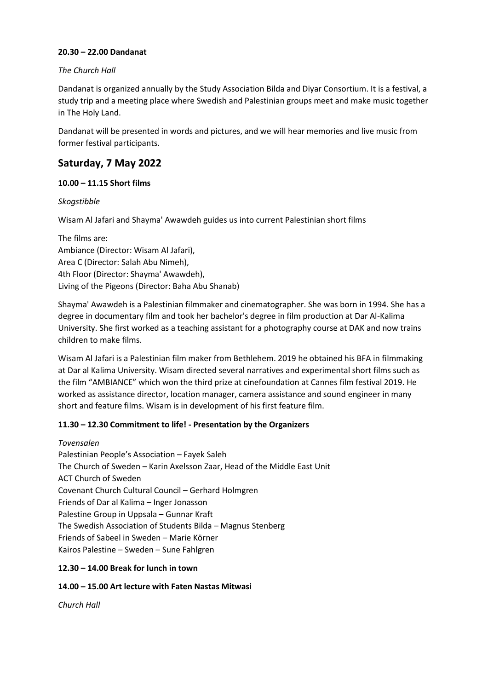## **20.30 – 22.00 Dandanat**

### *The Church Hall*

Dandanat is organized annually by the Study Association Bilda and Diyar Consortium. It is a festival, a study trip and a meeting place where Swedish and Palestinian groups meet and make music together in The Holy Land.

Dandanat will be presented in words and pictures, and we will hear memories and live music from former festival participants.

## **Saturday, 7 May 2022**

## **10.00 – 11.15 Short films**

## *Skogstibble*

Wisam Al Jafari and Shayma' Awawdeh guides us into current Palestinian short films

The films are: Ambiance (Director: Wisam Al Jafari), Area C (Director: Salah Abu Nimeh), 4th Floor (Director: Shayma' Awawdeh), Living of the Pigeons (Director: Baha Abu Shanab)

Shayma' Awawdeh is a Palestinian filmmaker and cinematographer. She was born in 1994. She has a degree in documentary film and took her bachelor's degree in film production at Dar Al-Kalima University. She first worked as a teaching assistant for a photography course at DAK and now trains children to make films.

Wisam Al Jafari is a Palestinian film maker from Bethlehem. 2019 he obtained his BFA in filmmaking at Dar al Kalima University. Wisam directed several narratives and experimental short films such as the film "AMBIANCE" which won the third prize at cinefoundation at Cannes film festival 2019. He worked as assistance director, location manager, camera assistance and sound engineer in many short and feature films. Wisam is in development of his first feature film.

## **11.30 – 12.30 Commitment to life! - Presentation by the Organizers**

*Tovensalen*  Palestinian People's Association – Fayek Saleh The Church of Sweden – Karin Axelsson Zaar, Head of the Middle East Unit ACT Church of Sweden Covenant Church Cultural Council – Gerhard Holmgren Friends of Dar al Kalima – Inger Jonasson Palestine Group in Uppsala – Gunnar Kraft The Swedish Association of Students Bilda – Magnus Stenberg Friends of Sabeel in Sweden – Marie Körner Kairos Palestine – Sweden – Sune Fahlgren

## **12.30 – 14.00 Break for lunch in town**

## **14.00 – 15.00 Art lecture with Faten Nastas Mitwasi**

*Church Hall*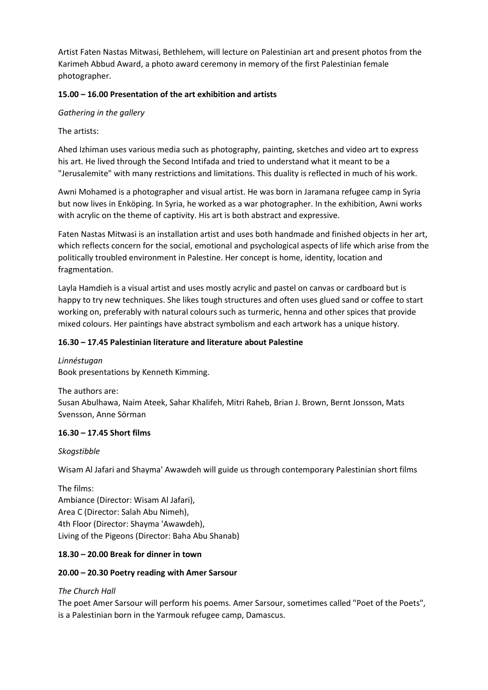Artist Faten Nastas Mitwasi, Bethlehem, will lecture on Palestinian art and present photos from the Karimeh Abbud Award, a photo award ceremony in memory of the first Palestinian female photographer.

## **15.00 – 16.00 Presentation of the art exhibition and artists**

## *Gathering in the gallery*

## The artists:

Ahed Izhiman uses various media such as photography, painting, sketches and video art to express his art. He lived through the Second Intifada and tried to understand what it meant to be a "Jerusalemite" with many restrictions and limitations. This duality is reflected in much of his work.

Awni Mohamed is a photographer and visual artist. He was born in Jaramana refugee camp in Syria but now lives in Enköping. In Syria, he worked as a war photographer. In the exhibition, Awni works with acrylic on the theme of captivity. His art is both abstract and expressive.

Faten Nastas Mitwasi is an installation artist and uses both handmade and finished objects in her art, which reflects concern for the social, emotional and psychological aspects of life which arise from the politically troubled environment in Palestine. Her concept is home, identity, location and fragmentation.

Layla Hamdieh is a visual artist and uses mostly acrylic and pastel on canvas or cardboard but is happy to try new techniques. She likes tough structures and often uses glued sand or coffee to start working on, preferably with natural colours such as turmeric, henna and other spices that provide mixed colours. Her paintings have abstract symbolism and each artwork has a unique history.

## **16.30 – 17.45 Palestinian literature and literature about Palestine**

*Linnéstugan*  Book presentations by Kenneth Kimming.

The authors are: Susan Abulhawa, Naim Ateek, Sahar Khalifeh, Mitri Raheb, Brian J. Brown, Bernt Jonsson, Mats Svensson, Anne Sörman

## **16.30 – 17.45 Short films**

## *Skogstibble*

Wisam Al Jafari and Shayma' Awawdeh will guide us through contemporary Palestinian short films

The films: Ambiance (Director: Wisam Al Jafari), Area C (Director: Salah Abu Nimeh), 4th Floor (Director: Shayma 'Awawdeh), Living of the Pigeons (Director: Baha Abu Shanab)

## **18.30 – 20.00 Break for dinner in town**

## **20.00 – 20.30 Poetry reading with Amer Sarsour**

## *The Church Hall*

The poet Amer Sarsour will perform his poems. Amer Sarsour, sometimes called "Poet of the Poets", is a Palestinian born in the Yarmouk refugee camp, Damascus.